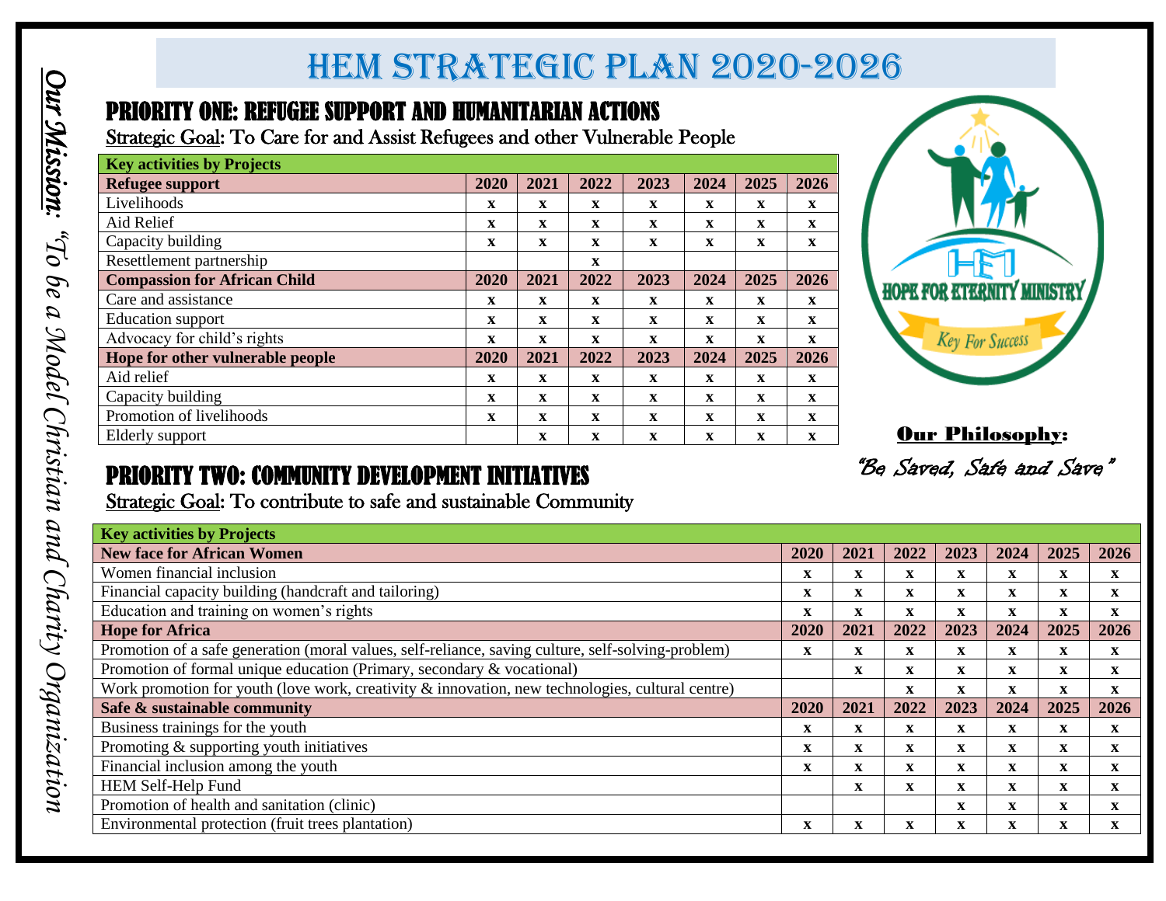## *Benchmarks of HEM Strategic Plan 2020-2026* HEM strategic Plan 2020-2026

#### PRIORITY ONE: REFUGEE SUPPORT AND HUMANITARIAN ACTIONS

| <b>Key activities by Projects</b>   |             |             |              |              |              |             |              |
|-------------------------------------|-------------|-------------|--------------|--------------|--------------|-------------|--------------|
| Refugee support                     | 2020        | 2021        | 2022         | 2023         | 2024         | 2025        | 2026         |
| Livelihoods                         | X           | $\mathbf x$ | $\mathbf x$  | X            | $\mathbf X$  | $\mathbf x$ | $\mathbf{X}$ |
| Aid Relief                          | $\mathbf X$ | $\mathbf x$ | $\mathbf x$  | X            | $\mathbf X$  | $\mathbf x$ | $\mathbf X$  |
| Capacity building                   | $\mathbf X$ | $\mathbf x$ | $\mathbf x$  | $\mathbf X$  | $\mathbf{x}$ | $\mathbf X$ | $\mathbf x$  |
| Resettlement partnership            |             |             | $\mathbf{x}$ |              |              |             |              |
| <b>Compassion for African Child</b> | 2020        | 2021        | 2022         | 2023         | 2024         | 2025        | 2026         |
| Care and assistance                 | X           | $\mathbf x$ | $\mathbf x$  | $\mathbf x$  | $\mathbf{x}$ | $\mathbf x$ | $\mathbf{x}$ |
| <b>Education</b> support            | X           | X           | $\mathbf x$  | X            | $\mathbf X$  | X           | $\mathbf{X}$ |
| Advocacy for child's rights         | $\mathbf X$ | $\mathbf x$ | $\mathbf x$  | $\mathbf{x}$ | $\mathbf X$  | $\mathbf X$ | $\mathbf X$  |
| Hope for other vulnerable people    | 2020        | 2021        | 2022         | 2023         | 2024         | 2025        | 2026         |
| Aid relief                          | X           | X           | $\mathbf x$  | $\mathbf x$  | X            | X           | X            |
| Capacity building                   | $\mathbf X$ | $\mathbf x$ | $\mathbf x$  | $\mathbf X$  | $\mathbf X$  | $\mathbf x$ | $\mathbf X$  |
| Promotion of livelihoods            | X           | X           | $\mathbf x$  | $\mathbf x$  | $\mathbf X$  | $\mathbf x$ | $\mathbf X$  |
| Elderly support                     |             | $\mathbf x$ | $\mathbf x$  | X            | X            | X           | $\mathbf x$  |



**Our Philosophy:** 

### PRIORITY TWO: COMMUNITY DEVELOPMENT INITIATIVES

| <b>Key activities by Projects</b>                                                                                                                                            |                           |                           |                           |              |                           |              |                            |                              |                             |                             |                                              |                                                     |
|------------------------------------------------------------------------------------------------------------------------------------------------------------------------------|---------------------------|---------------------------|---------------------------|--------------|---------------------------|--------------|----------------------------|------------------------------|-----------------------------|-----------------------------|----------------------------------------------|-----------------------------------------------------|
| <b>Refugee support</b>                                                                                                                                                       | 2020                      | 2021                      | 2022                      | 2023         | 2024                      | 2025         | 2026                       |                              |                             |                             |                                              |                                                     |
| Livelihoods                                                                                                                                                                  | $\boldsymbol{\mathrm{X}}$ | $\mathbf X$               | $\mathbf X$               | $\mathbf X$  | $\boldsymbol{\mathrm{X}}$ | $\mathbf X$  | $\boldsymbol{\mathrm{X}}$  |                              |                             |                             |                                              |                                                     |
| Aid Relief                                                                                                                                                                   | $\mathbf X$               | $\boldsymbol{\mathrm{X}}$ | $\boldsymbol{\mathrm{X}}$ | $\mathbf X$  | $\mathbf{X}$              | $\mathbf X$  | $\boldsymbol{\mathrm{X}}$  |                              |                             |                             |                                              |                                                     |
| Capacity building                                                                                                                                                            | $\mathbf{X}$              | $\mathbf X$               | $\mathbf{X}$              | $\mathbf X$  | $\mathbf{X}$              | $\mathbf{X}$ | $\mathbf{X}$               |                              |                             |                             |                                              |                                                     |
| Resettlement partnership                                                                                                                                                     |                           |                           | $\mathbf{x}$              |              |                           |              |                            |                              |                             |                             |                                              |                                                     |
| <b>Compassion for African Child</b>                                                                                                                                          | 2020                      | 2021                      | 2022                      | 2023         | 2024                      | 2025         | 2026                       |                              |                             |                             |                                              |                                                     |
| Care and assistance                                                                                                                                                          | $\mathbf{x}$              | $\mathbf{x}$              | $\mathbf{x}$              | $\mathbf{X}$ | $\mathbf{X}$              | $\mathbf{x}$ | $\mathbf{X}$               |                              |                             |                             | <b>HOPE FOR ETERNITY MINISTRY</b>            |                                                     |
| <b>Education</b> support                                                                                                                                                     | $\mathbf{X}$              | $\mathbf{x}$              | $\mathbf{x}$              | $\mathbf{X}$ | $\mathbf{X}$              | $\mathbf X$  | $\mathbf{x}$               |                              |                             |                             |                                              |                                                     |
| Advocacy for child's rights                                                                                                                                                  | $\mathbf{x}$              | $\mathbf{X}$              | $\mathbf{x}$              | $\mathbf X$  | $\mathbf{x}$              | $\mathbf X$  | $\mathbf{X}$               |                              |                             | <b>Key For Success</b>      |                                              |                                                     |
| Hope for other vulnerable people                                                                                                                                             | 2020                      | 2021                      | 2022                      | 2023         | 2024                      | 2025         | 2026                       |                              |                             |                             |                                              |                                                     |
| Aid relief                                                                                                                                                                   | $\mathbf X$               | $\boldsymbol{\mathrm{X}}$ | $\boldsymbol{\mathrm{X}}$ | $\mathbf X$  | $\mathbf X$               | $\mathbf X$  | $\mathbf{X}$               |                              |                             |                             |                                              |                                                     |
|                                                                                                                                                                              |                           | $\mathbf X$               | $\mathbf{x}$              | $\mathbf X$  | $\mathbf{X}$              | $\mathbf{x}$ | $\mathbf{x}$               |                              |                             |                             |                                              |                                                     |
| Capacity building                                                                                                                                                            | $\mathbf X$               |                           |                           |              |                           |              |                            |                              |                             |                             |                                              |                                                     |
| Promotion of livelihoods                                                                                                                                                     | $\mathbf X$               | $\mathbf{X}$              | $\mathbf{x}$              | $\mathbf X$  | $\mathbf{x}$              | $\mathbf{x}$ | $\mathbf{x}$               |                              |                             |                             |                                              |                                                     |
| Elderly support<br><b>PRIORITY TWO: COMMUNITY DEVELOPMENT INITIATIVES</b>                                                                                                    |                           | $\mathbf{X}$              | $\mathbf{X}$              | $\mathbf{X}$ | $\mathbf{X}$              | $\mathbf X$  | $\mathbf{X}$               |                              |                             |                             | Our Philosophy:<br>"Be Saved, Safe and Save" |                                                     |
| Strategic Goal: To contribute to safe and sustainable Community                                                                                                              |                           |                           |                           |              |                           |              |                            |                              |                             |                             |                                              |                                                     |
| <b>Key activities by Projects</b>                                                                                                                                            |                           |                           |                           |              |                           |              |                            |                              |                             |                             |                                              |                                                     |
|                                                                                                                                                                              |                           |                           |                           |              |                           |              | 2020                       | 2021                         | 2022                        | 2023                        | 2024                                         |                                                     |
| <b>New face for African Women</b><br>Women financial inclusion                                                                                                               |                           |                           |                           |              |                           |              | $\mathbf X$                | $\mathbf X$                  | $\boldsymbol{\mathrm{X}}$   | $\mathbf X$                 | $\mathbf X$                                  | $\mathbf X$                                         |
| Financial capacity building (handcraft and tailoring)                                                                                                                        |                           |                           |                           |              |                           |              | $\mathbf{X}$               | $\mathbf{X}$                 | $\mathbf X$                 | $\mathbf{x}$                | $\mathbf X$                                  | $\mathbf{X}$                                        |
| Education and training on women's rights                                                                                                                                     |                           |                           |                           |              |                           |              | $\mathbf{x}$               | $\mathbf{x}$                 | $\mathbf{x}$                | $\mathbf{x}$                | $\mathbf X$                                  | $\mathbf{x}$                                        |
| <b>Hope for Africa</b>                                                                                                                                                       |                           |                           |                           |              |                           |              | 2020                       | 2021                         | 2022                        | 2023                        | 2024                                         |                                                     |
|                                                                                                                                                                              |                           |                           |                           |              |                           |              | $\mathbf{X}$               | $\mathbf{X}$                 | $\mathbf{X}$                | $\mathbf{X}$                | $\mathbf{x}$                                 | $\mathbf{x}$                                        |
| Promotion of a safe generation (moral values, self-reliance, saving culture, self-solving-problem)<br>Promotion of formal unique education (Primary, secondary & vocational) |                           |                           |                           |              |                           |              |                            | $\mathbf{x}$                 | $\mathbf{X}$                | $\mathbf{x}$                | $\mathbf{X}$                                 | $\mathbf{X}$                                        |
| Work promotion for youth (love work, creativity $\&$ innovation, new technologies, cultural centre)                                                                          |                           |                           |                           |              |                           |              |                            |                              | $\mathbf{X}$                | $\mathbf{x}$                | $\mathbf{x}$                                 | $\mathbf{x}$                                        |
| Safe & sustainable community                                                                                                                                                 |                           |                           |                           |              |                           |              | 2020                       | 2021                         | 2022                        | 2023                        | 2024                                         |                                                     |
| Business trainings for the youth                                                                                                                                             |                           |                           |                           |              |                           |              | $\mathbf{x}$               | $\mathbf{x}$                 | $\mathbf X$                 | $\mathbf X$                 | $\mathbf{x}$                                 | $\mathbf X$                                         |
| Promoting $\&$ supporting youth initiatives<br>Financial inclusion among the youth                                                                                           |                           |                           |                           |              |                           |              | $\mathbf X$<br>$\mathbf X$ | $\mathbf{x}$<br>$\mathbf{X}$ | $\mathbf{X}$<br>$\mathbf X$ | $\mathbf{x}$<br>$\mathbf X$ | $\mathbf{x}$<br>$\mathbf{X}$                 | 2025<br>2025<br>2025<br>$\mathbf{x}$<br>$\mathbf X$ |